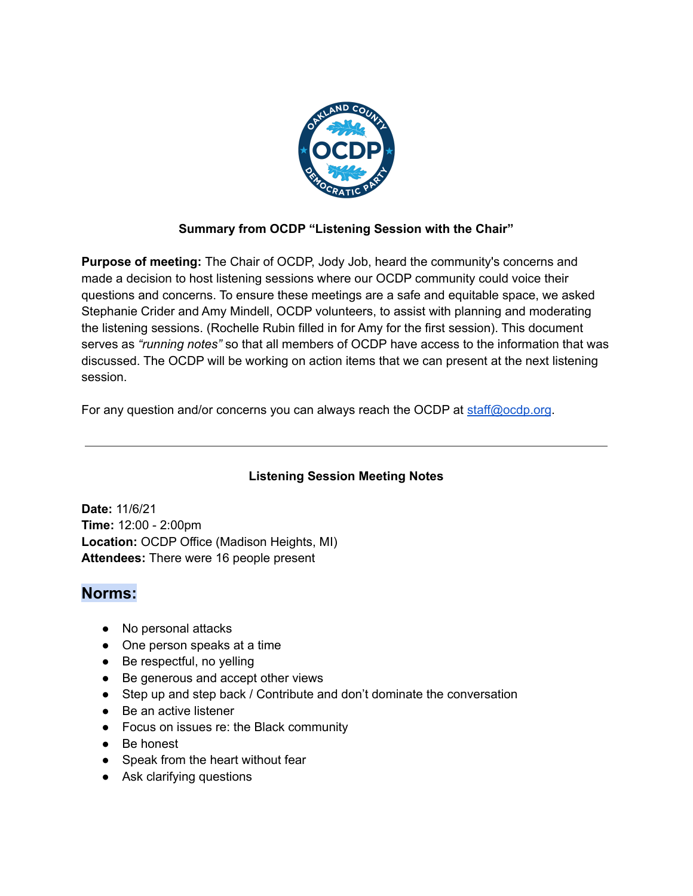

#### **Summary from OCDP "Listening Session with the Chair"**

**Purpose of meeting:** The Chair of OCDP, Jody Job, heard the community's concerns and made a decision to host listening sessions where our OCDP community could voice their questions and concerns. To ensure these meetings are a safe and equitable space, we asked Stephanie Crider and Amy Mindell, OCDP volunteers, to assist with planning and moderating the listening sessions. (Rochelle Rubin filled in for Amy for the first session). This document serves as *"running notes"* so that all members of OCDP have access to the information that was discussed. The OCDP will be working on action items that we can present at the next listening session.

For any question and/or concerns you can always reach the OCDP at [staff@ocdp.org](mailto:staff@ocdp.org).

### **Listening Session Meeting Notes**

**Date:** 11/6/21 **Time:** 12:00 - 2:00pm **Location:** OCDP Office (Madison Heights, MI) **Attendees:** There were 16 people present

### **Norms:**

- No personal attacks
- One person speaks at a time
- Be respectful, no yelling
- Be generous and accept other views
- Step up and step back / Contribute and don't dominate the conversation
- Be an active listener
- Focus on issues re: the Black community
- Be honest
- Speak from the heart without fear
- Ask clarifying questions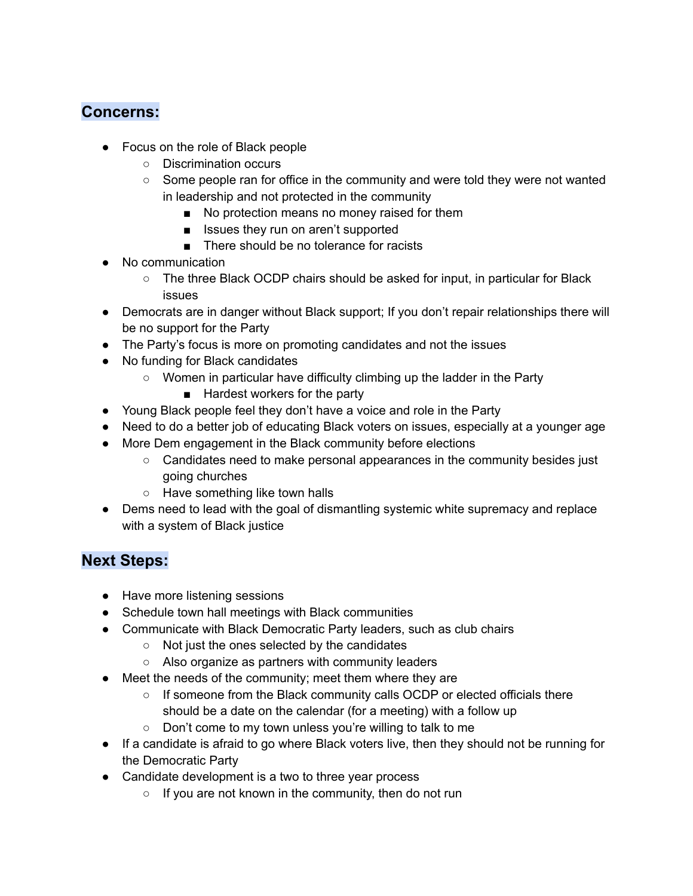# **Concerns:**

- Focus on the role of Black people
	- Discrimination occurs
	- Some people ran for office in the community and were told they were not wanted in leadership and not protected in the community
		- No protection means no money raised for them
		- Issues they run on aren't supported
		- There should be no tolerance for racists
- No communication
	- The three Black OCDP chairs should be asked for input, in particular for Black issues
- Democrats are in danger without Black support; If you don't repair relationships there will be no support for the Party
- The Party's focus is more on promoting candidates and not the issues
- No funding for Black candidates
	- Women in particular have difficulty climbing up the ladder in the Party
		- Hardest workers for the party
- Young Black people feel they don't have a voice and role in the Party
- Need to do a better job of educating Black voters on issues, especially at a younger age
- More Dem engagement in the Black community before elections
	- Candidates need to make personal appearances in the community besides just going churches
	- Have something like town halls
- Dems need to lead with the goal of dismantling systemic white supremacy and replace with a system of Black justice

## **Next Steps:**

- Have more listening sessions
- Schedule town hall meetings with Black communities
- Communicate with Black Democratic Party leaders, such as club chairs
	- Not just the ones selected by the candidates
	- Also organize as partners with community leaders
- Meet the needs of the community; meet them where they are
	- $\circ$  If someone from the Black community calls OCDP or elected officials there should be a date on the calendar (for a meeting) with a follow up
	- Don't come to my town unless you're willing to talk to me
- If a candidate is afraid to go where Black voters live, then they should not be running for the Democratic Party
- Candidate development is a two to three year process
	- If you are not known in the community, then do not run